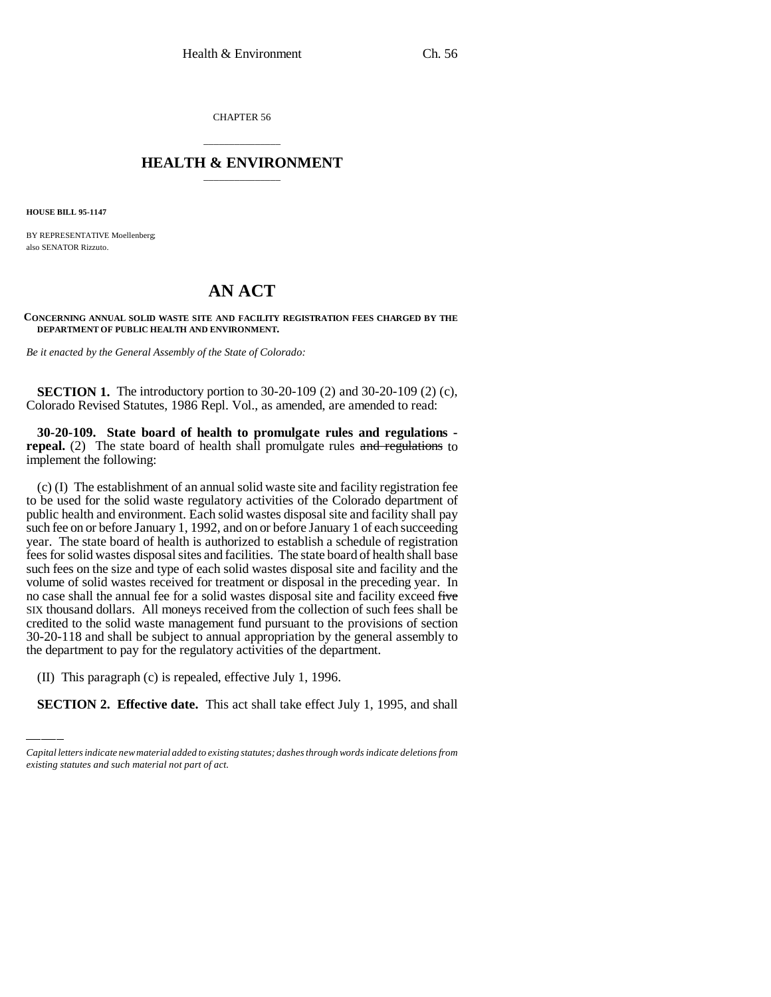CHAPTER 56

## \_\_\_\_\_\_\_\_\_\_\_\_\_\_\_ **HEALTH & ENVIRONMENT** \_\_\_\_\_\_\_\_\_\_\_\_\_\_\_

**HOUSE BILL 95-1147**

BY REPRESENTATIVE Moellenberg; also SENATOR Rizzuto.

## **AN ACT**

**CONCERNING ANNUAL SOLID WASTE SITE AND FACILITY REGISTRATION FEES CHARGED BY THE DEPARTMENT OF PUBLIC HEALTH AND ENVIRONMENT.**

*Be it enacted by the General Assembly of the State of Colorado:*

**SECTION 1.** The introductory portion to 30-20-109 (2) and 30-20-109 (2) (c), Colorado Revised Statutes, 1986 Repl. Vol., as amended, are amended to read:

**30-20-109. State board of health to promulgate rules and regulations repeal.** (2) The state board of health shall promulgate rules and regulations to implement the following:

the department to pay for the regulatory activities of the department. (c) (I) The establishment of an annual solid waste site and facility registration fee to be used for the solid waste regulatory activities of the Colorado department of public health and environment. Each solid wastes disposal site and facility shall pay such fee on or before January 1, 1992, and on or before January 1 of each succeeding year. The state board of health is authorized to establish a schedule of registration fees for solid wastes disposal sites and facilities. The state board of health shall base such fees on the size and type of each solid wastes disposal site and facility and the volume of solid wastes received for treatment or disposal in the preceding year. In no case shall the annual fee for a solid wastes disposal site and facility exceed five SIX thousand dollars. All moneys received from the collection of such fees shall be credited to the solid waste management fund pursuant to the provisions of section 30-20-118 and shall be subject to annual appropriation by the general assembly to

(II) This paragraph (c) is repealed, effective July 1, 1996.

**SECTION 2. Effective date.** This act shall take effect July 1, 1995, and shall

*Capital letters indicate new material added to existing statutes; dashes through words indicate deletions from existing statutes and such material not part of act.*